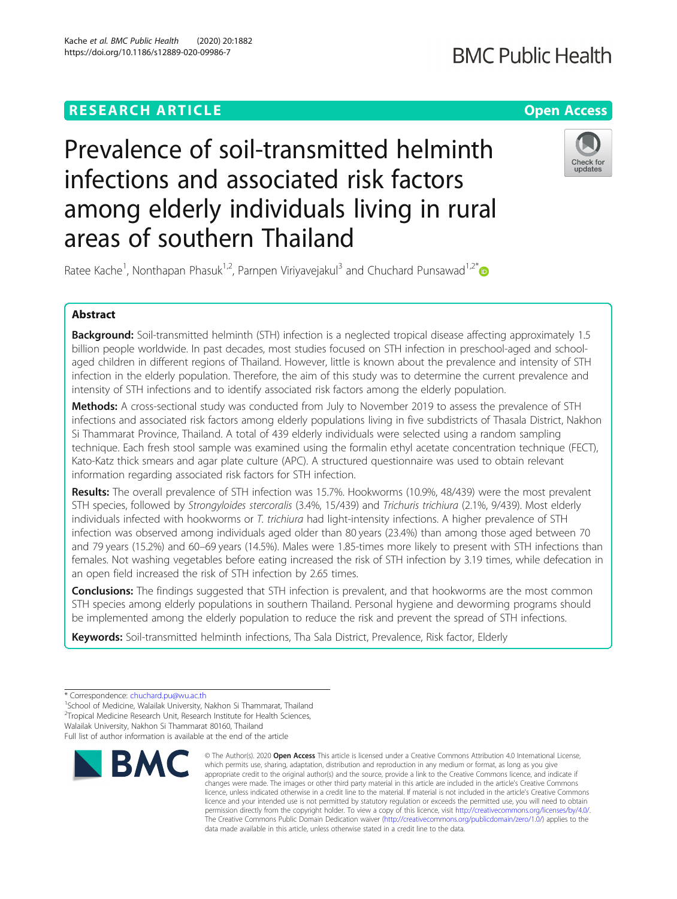# **RESEARCH ARTICLE Example 2014 12:30 The Contract of Contract ACCESS**

# **BMC Public Health**

# Prevalence of soil-transmitted helminth infections and associated risk factors among elderly individuals living in rural areas of southern Thailand



Ratee Kache<sup>1</sup>, Nonthapan Phasuk<sup>1,2</sup>, Parnpen Viriyavejakul<sup>3</sup> and Chuchard Punsawad<sup>1,2[\\*](http://orcid.org/0000-0003-4826-9474)</sup>

# Abstract

Background: Soil-transmitted helminth (STH) infection is a neglected tropical disease affecting approximately 1.5 billion people worldwide. In past decades, most studies focused on STH infection in preschool-aged and schoolaged children in different regions of Thailand. However, little is known about the prevalence and intensity of STH infection in the elderly population. Therefore, the aim of this study was to determine the current prevalence and intensity of STH infections and to identify associated risk factors among the elderly population.

**Methods:** A cross-sectional study was conducted from July to November 2019 to assess the prevalence of STH infections and associated risk factors among elderly populations living in five subdistricts of Thasala District, Nakhon Si Thammarat Province, Thailand. A total of 439 elderly individuals were selected using a random sampling technique. Each fresh stool sample was examined using the formalin ethyl acetate concentration technique (FECT), Kato-Katz thick smears and agar plate culture (APC). A structured questionnaire was used to obtain relevant information regarding associated risk factors for STH infection.

Results: The overall prevalence of STH infection was 15.7%. Hookworms (10.9%, 48/439) were the most prevalent STH species, followed by Strongyloides stercoralis (3.4%, 15/439) and Trichuris trichiura (2.1%, 9/439). Most elderly individuals infected with hookworms or T. trichiura had light-intensity infections. A higher prevalence of STH infection was observed among individuals aged older than 80 years (23.4%) than among those aged between 70 and 79 years (15.2%) and 60–69 years (14.5%). Males were 1.85-times more likely to present with STH infections than females. Not washing vegetables before eating increased the risk of STH infection by 3.19 times, while defecation in an open field increased the risk of STH infection by 2.65 times.

**Conclusions:** The findings suggested that STH infection is prevalent, and that hookworms are the most common STH species among elderly populations in southern Thailand. Personal hygiene and deworming programs should be implemented among the elderly population to reduce the risk and prevent the spread of STH infections.

Keywords: Soil-transmitted helminth infections, Tha Sala District, Prevalence, Risk factor, Elderly

Walailak University, Nakhon Si Thammarat 80160, Thailand

Full list of author information is available at the end of the article



<sup>©</sup> The Author(s), 2020 **Open Access** This article is licensed under a Creative Commons Attribution 4.0 International License, which permits use, sharing, adaptation, distribution and reproduction in any medium or format, as long as you give appropriate credit to the original author(s) and the source, provide a link to the Creative Commons licence, and indicate if changes were made. The images or other third party material in this article are included in the article's Creative Commons licence, unless indicated otherwise in a credit line to the material. If material is not included in the article's Creative Commons licence and your intended use is not permitted by statutory regulation or exceeds the permitted use, you will need to obtain permission directly from the copyright holder. To view a copy of this licence, visit [http://creativecommons.org/licenses/by/4.0/.](http://creativecommons.org/licenses/by/4.0/) The Creative Commons Public Domain Dedication waiver [\(http://creativecommons.org/publicdomain/zero/1.0/](http://creativecommons.org/publicdomain/zero/1.0/)) applies to the data made available in this article, unless otherwise stated in a credit line to the data.

<sup>\*</sup> Correspondence: [chuchard.pu@wu.ac.th](mailto:chuchard.pu@wu.ac.th)<br><sup>1</sup>School of Medicine, Walailak University, Nakhon Si Thammarat, Thailand <sup>2</sup> Tropical Medicine Research Unit, Research Institute for Health Sciences,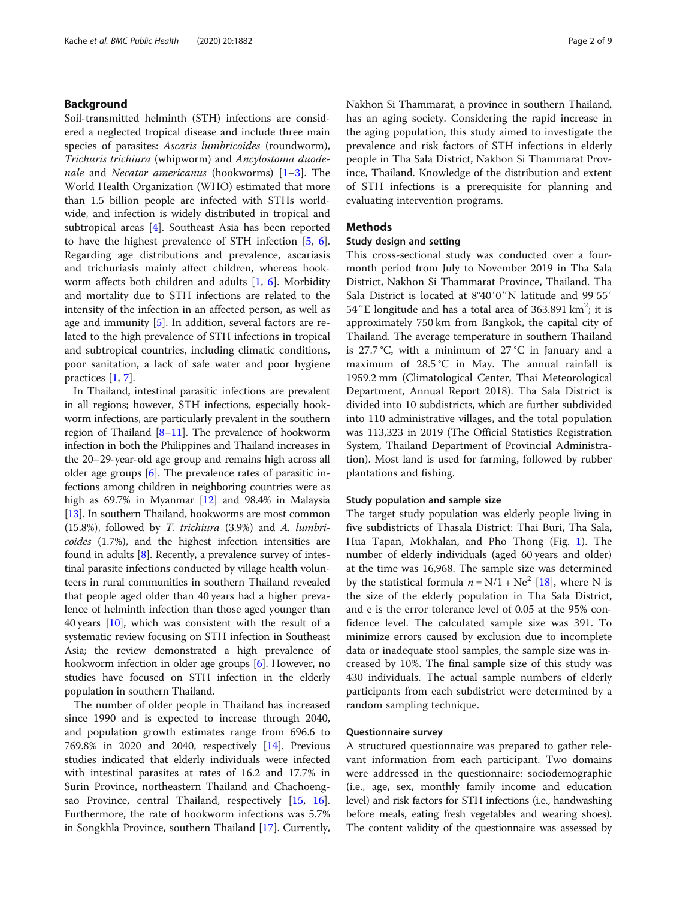# Background

Soil-transmitted helminth (STH) infections are considered a neglected tropical disease and include three main species of parasites: Ascaris lumbricoides (roundworm), Trichuris trichiura (whipworm) and Ancylostoma duodenale and Necator americanus (hookworms)  $[1-3]$  $[1-3]$  $[1-3]$  $[1-3]$  $[1-3]$ . The World Health Organization (WHO) estimated that more than 1.5 billion people are infected with STHs worldwide, and infection is widely distributed in tropical and subtropical areas [\[4](#page-7-0)]. Southeast Asia has been reported to have the highest prevalence of STH infection [\[5,](#page-7-0) [6](#page-7-0)]. Regarding age distributions and prevalence, ascariasis and trichuriasis mainly affect children, whereas hookworm affects both children and adults [[1](#page-7-0), [6](#page-7-0)]. Morbidity and mortality due to STH infections are related to the intensity of the infection in an affected person, as well as age and immunity [[5\]](#page-7-0). In addition, several factors are related to the high prevalence of STH infections in tropical and subtropical countries, including climatic conditions, poor sanitation, a lack of safe water and poor hygiene practices [[1,](#page-7-0) [7\]](#page-7-0).

In Thailand, intestinal parasitic infections are prevalent in all regions; however, STH infections, especially hookworm infections, are particularly prevalent in the southern region of Thailand [\[8](#page-7-0)–[11](#page-7-0)]. The prevalence of hookworm infection in both the Philippines and Thailand increases in the 20–29-year-old age group and remains high across all older age groups [[6\]](#page-7-0). The prevalence rates of parasitic infections among children in neighboring countries were as high as 69.7% in Myanmar [\[12](#page-7-0)] and 98.4% in Malaysia [[13](#page-7-0)]. In southern Thailand, hookworms are most common (15.8%), followed by T. trichiura (3.9%) and A. lumbricoides (1.7%), and the highest infection intensities are found in adults [\[8\]](#page-7-0). Recently, a prevalence survey of intestinal parasite infections conducted by village health volunteers in rural communities in southern Thailand revealed that people aged older than 40 years had a higher prevalence of helminth infection than those aged younger than 40 years [\[10\]](#page-7-0), which was consistent with the result of a systematic review focusing on STH infection in Southeast Asia; the review demonstrated a high prevalence of hookworm infection in older age groups [\[6\]](#page-7-0). However, no studies have focused on STH infection in the elderly population in southern Thailand.

The number of older people in Thailand has increased since 1990 and is expected to increase through 2040, and population growth estimates range from 696.6 to 769.8% in 2020 and 2040, respectively [[14\]](#page-7-0). Previous studies indicated that elderly individuals were infected with intestinal parasites at rates of 16.2 and 17.7% in Surin Province, northeastern Thailand and Chachoengsao Province, central Thailand, respectively [\[15,](#page-7-0) [16](#page-7-0)]. Furthermore, the rate of hookworm infections was 5.7% in Songkhla Province, southern Thailand [[17\]](#page-7-0). Currently, Nakhon Si Thammarat, a province in southern Thailand, has an aging society. Considering the rapid increase in the aging population, this study aimed to investigate the prevalence and risk factors of STH infections in elderly people in Tha Sala District, Nakhon Si Thammarat Province, Thailand. Knowledge of the distribution and extent of STH infections is a prerequisite for planning and evaluating intervention programs.

# **Methods**

# Study design and setting

This cross-sectional study was conducted over a fourmonth period from July to November 2019 in Tha Sala District, Nakhon Si Thammarat Province, Thailand. Tha Sala District is located at 8°40'0"N latitude and 99°55' 54"E longitude and has a total area of  $363.891 \text{ km}^2$ ; it is approximately 750 km from Bangkok, the capital city of Thailand. The average temperature in southern Thailand is 27.7 °C, with a minimum of 27 °C in January and a maximum of 28.5 °C in May. The annual rainfall is 1959.2 mm (Climatological Center, Thai Meteorological Department, Annual Report 2018). Tha Sala District is divided into 10 subdistricts, which are further subdivided into 110 administrative villages, and the total population was 113,323 in 2019 (The Official Statistics Registration System, Thailand Department of Provincial Administration). Most land is used for farming, followed by rubber plantations and fishing.

# Study population and sample size

The target study population was elderly people living in five subdistricts of Thasala District: Thai Buri, Tha Sala, Hua Tapan, Mokhalan, and Pho Thong (Fig. [1\)](#page-2-0). The number of elderly individuals (aged 60 years and older) at the time was 16,968. The sample size was determined by the statistical formula  $n = N/1 + Ne^2$  [\[18](#page-7-0)], where N is the size of the elderly population in Tha Sala District, and e is the error tolerance level of 0.05 at the 95% confidence level. The calculated sample size was 391. To minimize errors caused by exclusion due to incomplete data or inadequate stool samples, the sample size was increased by 10%. The final sample size of this study was 430 individuals. The actual sample numbers of elderly participants from each subdistrict were determined by a random sampling technique.

### Questionnaire survey

A structured questionnaire was prepared to gather relevant information from each participant. Two domains were addressed in the questionnaire: sociodemographic (i.e., age, sex, monthly family income and education level) and risk factors for STH infections (i.e., handwashing before meals, eating fresh vegetables and wearing shoes). The content validity of the questionnaire was assessed by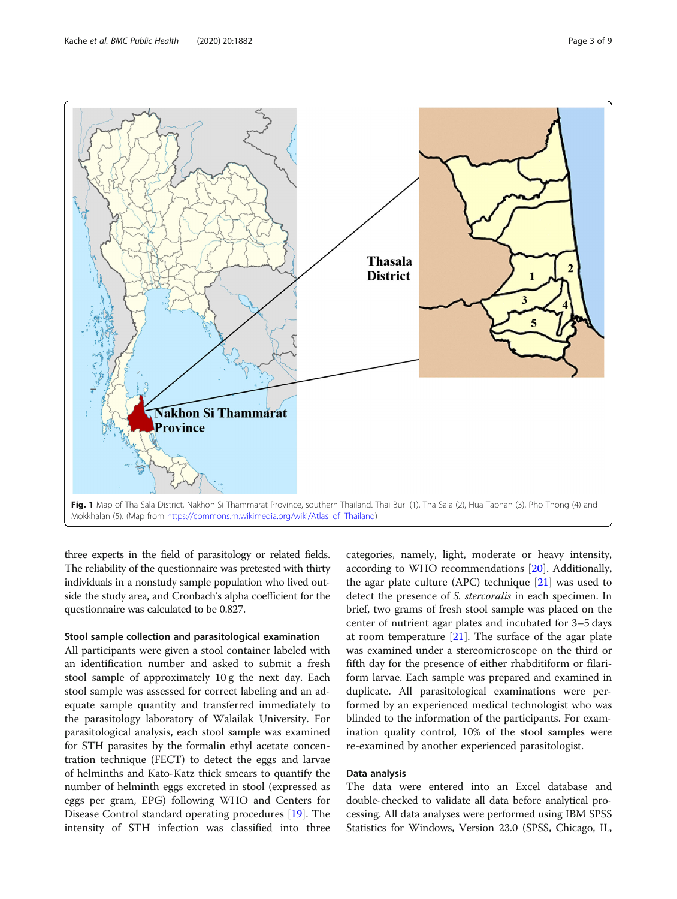<span id="page-2-0"></span>

three experts in the field of parasitology or related fields. The reliability of the questionnaire was pretested with thirty individuals in a nonstudy sample population who lived outside the study area, and Cronbach's alpha coefficient for the questionnaire was calculated to be 0.827.

# Stool sample collection and parasitological examination

All participants were given a stool container labeled with an identification number and asked to submit a fresh stool sample of approximately 10 g the next day. Each stool sample was assessed for correct labeling and an adequate sample quantity and transferred immediately to the parasitology laboratory of Walailak University. For parasitological analysis, each stool sample was examined for STH parasites by the formalin ethyl acetate concentration technique (FECT) to detect the eggs and larvae of helminths and Kato-Katz thick smears to quantify the number of helminth eggs excreted in stool (expressed as eggs per gram, EPG) following WHO and Centers for Disease Control standard operating procedures [\[19\]](#page-7-0). The intensity of STH infection was classified into three

categories, namely, light, moderate or heavy intensity, according to WHO recommendations [[20\]](#page-8-0). Additionally, the agar plate culture (APC) technique [\[21\]](#page-8-0) was used to detect the presence of *S. stercoralis* in each specimen. In brief, two grams of fresh stool sample was placed on the center of nutrient agar plates and incubated for 3–5 days at room temperature  $[21]$  $[21]$  $[21]$ . The surface of the agar plate was examined under a stereomicroscope on the third or fifth day for the presence of either rhabditiform or filariform larvae. Each sample was prepared and examined in duplicate. All parasitological examinations were performed by an experienced medical technologist who was blinded to the information of the participants. For examination quality control, 10% of the stool samples were re-examined by another experienced parasitologist.

# Data analysis

The data were entered into an Excel database and double-checked to validate all data before analytical processing. All data analyses were performed using IBM SPSS Statistics for Windows, Version 23.0 (SPSS, Chicago, IL,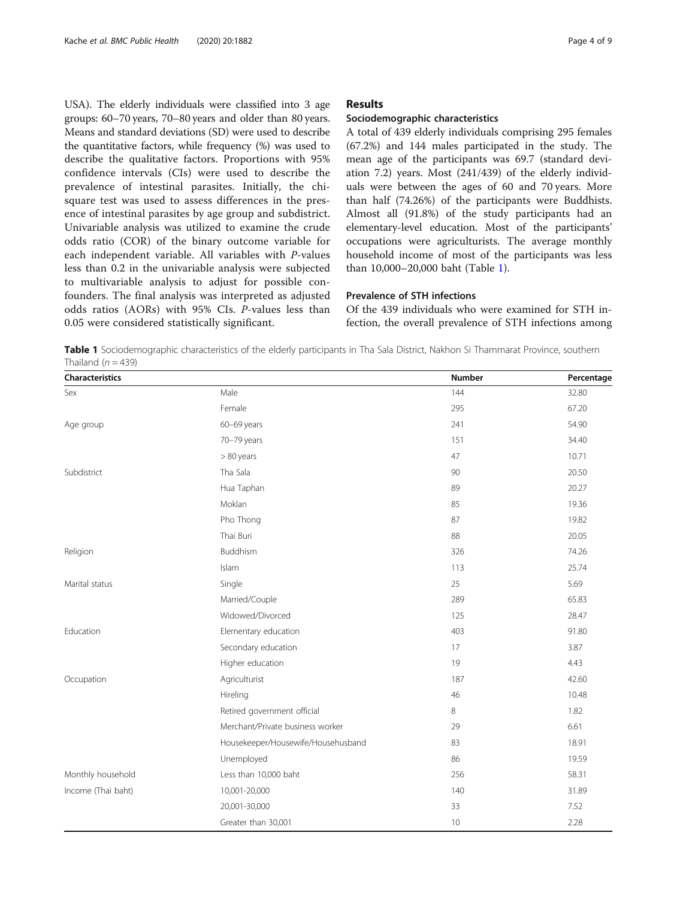USA). The elderly individuals were classified into 3 age groups: 60–70 years, 70–80 years and older than 80 years. Means and standard deviations (SD) were used to describe the quantitative factors, while frequency (%) was used to describe the qualitative factors. Proportions with 95% confidence intervals (CIs) were used to describe the prevalence of intestinal parasites. Initially, the chisquare test was used to assess differences in the presence of intestinal parasites by age group and subdistrict. Univariable analysis was utilized to examine the crude odds ratio (COR) of the binary outcome variable for each independent variable. All variables with P-values less than 0.2 in the univariable analysis were subjected to multivariable analysis to adjust for possible confounders. The final analysis was interpreted as adjusted odds ratios (AORs) with 95% CIs. P-values less than 0.05 were considered statistically significant.

# Results

# Sociodemographic characteristics

A total of 439 elderly individuals comprising 295 females (67.2%) and 144 males participated in the study. The mean age of the participants was 69.7 (standard deviation 7.2) years. Most (241/439) of the elderly individuals were between the ages of 60 and 70 years. More than half (74.26%) of the participants were Buddhists. Almost all (91.8%) of the study participants had an elementary-level education. Most of the participants' occupations were agriculturists. The average monthly household income of most of the participants was less than 10,000–20,000 baht (Table 1).

# Prevalence of STH infections

Of the 439 individuals who were examined for STH infection, the overall prevalence of STH infections among

Table 1 Sociodemographic characteristics of the elderly participants in Tha Sala District, Nakhon Si Thammarat Province, southern Thailand  $(n = 439)$ 

| <b>Characteristics</b> |                                    | <b>Number</b> | Percentage |
|------------------------|------------------------------------|---------------|------------|
| Sex                    | Male                               | 144           | 32.80      |
|                        | Female                             | 295           | 67.20      |
| Age group              | 60-69 years                        | 241           | 54.90      |
|                        | 70-79 years                        | 151           | 34.40      |
|                        | > 80 years                         | 47            | 10.71      |
| Subdistrict            | Tha Sala                           | 90            | 20.50      |
|                        | Hua Taphan                         | 89            | 20.27      |
|                        | Moklan                             | 85            | 19.36      |
|                        | Pho Thong                          | 87            | 19.82      |
|                        | Thai Buri                          | 88            | 20.05      |
| Religion               | Buddhism                           | 326           | 74.26      |
|                        | Islam                              | 113           | 25.74      |
| Marital status         | Single                             | 25            | 5.69       |
|                        | Married/Couple                     | 289           | 65.83      |
|                        | Widowed/Divorced                   | 125           | 28.47      |
| Education              | Elementary education               | 403           | 91.80      |
|                        | Secondary education                | 17            | 3.87       |
|                        | Higher education                   | 19            | 4.43       |
| Occupation             | Agriculturist                      | 187           | 42.60      |
|                        | Hireling                           | 46            | 10.48      |
|                        | Retired government official        | 8             | 1.82       |
|                        | Merchant/Private business worker   | 29            | 6.61       |
|                        | Housekeeper/Housewife/Househusband | 83            | 18.91      |
|                        | Unemployed                         | 86            | 19.59      |
| Monthly household      | Less than 10,000 baht              | 256           | 58.31      |
| Income (Thai baht)     | 10,001-20,000                      | 140           | 31.89      |
|                        | 20,001-30,000                      | 33            | 7.52       |
|                        | Greater than 30,001                | 10            | 2.28       |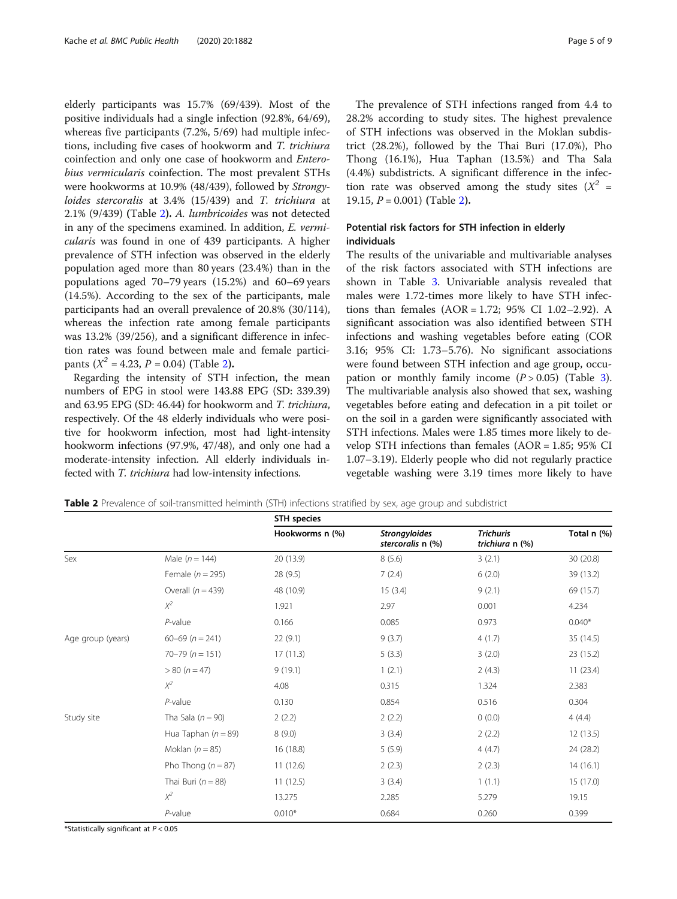elderly participants was 15.7% (69/439). Most of the positive individuals had a single infection (92.8%, 64/69), whereas five participants (7.2%, 5/69) had multiple infections, including five cases of hookworm and T. trichiura coinfection and only one case of hookworm and Enterobius vermicularis coinfection. The most prevalent STHs were hookworms at 10.9% (48/439), followed by Strongyloides stercoralis at 3.4% (15/439) and T. trichiura at 2.1% (9/439) (Table 2). A. lumbricoides was not detected in any of the specimens examined. In addition, E. vermicularis was found in one of 439 participants. A higher prevalence of STH infection was observed in the elderly population aged more than 80 years (23.4%) than in the populations aged 70–79 years (15.2%) and 60–69 years (14.5%). According to the sex of the participants, male participants had an overall prevalence of 20.8% (30/114), whereas the infection rate among female participants was 13.2% (39/256), and a significant difference in infection rates was found between male and female participants  $(X^2 = 4.23, P = 0.04)$  (Table 2).

Regarding the intensity of STH infection, the mean numbers of EPG in stool were 143.88 EPG (SD: 339.39) and 63.95 EPG (SD: 46.44) for hookworm and T. trichiura, respectively. Of the 48 elderly individuals who were positive for hookworm infection, most had light-intensity hookworm infections (97.9%, 47/48), and only one had a moderate-intensity infection. All elderly individuals infected with T. trichiura had low-intensity infections.

The prevalence of STH infections ranged from 4.4 to 28.2% according to study sites. The highest prevalence of STH infections was observed in the Moklan subdistrict (28.2%), followed by the Thai Buri (17.0%), Pho Thong (16.1%), Hua Taphan (13.5%) and Tha Sala (4.4%) subdistricts. A significant difference in the infection rate was observed among the study sites  $(X^2 =$ 19.15,  $P = 0.001$  (Table 2).

# Potential risk factors for STH infection in elderly individuals

The results of the univariable and multivariable analyses of the risk factors associated with STH infections are shown in Table [3](#page-5-0). Univariable analysis revealed that males were 1.72-times more likely to have STH infections than females (AOR = 1.72; 95% CI 1.02–2.92). A significant association was also identified between STH infections and washing vegetables before eating (COR 3.16; 95% CI: 1.73–5.76). No significant associations were found between STH infection and age group, occupation or monthly family income  $(P > 0.05)$  (Table [3](#page-5-0)). The multivariable analysis also showed that sex, washing vegetables before eating and defecation in a pit toilet or on the soil in a garden were significantly associated with STH infections. Males were 1.85 times more likely to develop STH infections than females (AOR = 1.85; 95% CI 1.07–3.19). Elderly people who did not regularly practice vegetable washing were 3.19 times more likely to have

Table 2 Prevalence of soil-transmitted helminth (STH) infections stratified by sex, age group and subdistrict

STH species

|                   |                         | כסוטסעכ וווכ    |                                           |                                     |             |
|-------------------|-------------------------|-----------------|-------------------------------------------|-------------------------------------|-------------|
|                   |                         | Hookworms n (%) | <b>Strongyloides</b><br>stercoralis n (%) | <b>Trichuris</b><br>trichiura n (%) | Total n (%) |
| Sex               | Male ( $n = 144$ )      | 20 (13.9)       | 8(5.6)                                    | 3(2.1)                              | 30 (20.8)   |
|                   | Female $(n = 295)$      | 28 (9.5)        | 7(2.4)                                    | 6(2.0)                              | 39 (13.2)   |
|                   | Overall $(n = 439)$     | 48 (10.9)       | 15(3.4)                                   | 9(2.1)                              | 69 (15.7)   |
|                   | $\chi^2$                | 1.921           | 2.97                                      | 0.001                               | 4.234       |
|                   | $P$ -value              | 0.166           | 0.085                                     | 0.973                               | $0.040*$    |
| Age group (years) | $60 - 69$ ( $n = 241$ ) | 22(9.1)         | 9(3.7)                                    | 4(1.7)                              | 35 (14.5)   |
|                   | $70 - 79$ ( $n = 151$ ) | 17(11.3)        | 5(3.3)                                    | 3(2.0)                              | 23 (15.2)   |
|                   | $> 80 (n = 47)$         | 9(19.1)         | 1(2.1)                                    | 2(4.3)                              | 11(23.4)    |
|                   | $X^2$                   | 4.08            | 0.315                                     | 1.324                               | 2.383       |
|                   | $P$ -value              | 0.130           | 0.854                                     | 0.516                               | 0.304       |
| Study site        | Tha Sala $(n = 90)$     | 2(2.2)          | 2(2.2)                                    | 0(0.0)                              | 4(4.4)      |
|                   | Hua Taphan $(n = 89)$   | 8(9.0)          | 3(3.4)                                    | 2(2.2)                              | 12 (13.5)   |
|                   | Moklan $(n = 85)$       | 16 (18.8)       | 5(5.9)                                    | 4(4.7)                              | 24 (28.2)   |
|                   | Pho Thong $(n = 87)$    | 11(12.6)        | 2(2.3)                                    | 2(2.3)                              | 14(16.1)    |
|                   | Thai Buri ( $n = 88$ )  | 11(12.5)        | 3(3.4)                                    | 1(1.1)                              | 15 (17.0)   |
|                   | $\chi^2$                | 13.275          | 2.285                                     | 5.279                               | 19.15       |
|                   | $P$ -value              | $0.010*$        | 0.684                                     | 0.260                               | 0.399       |

\*Statistically significant at  $P < 0.05$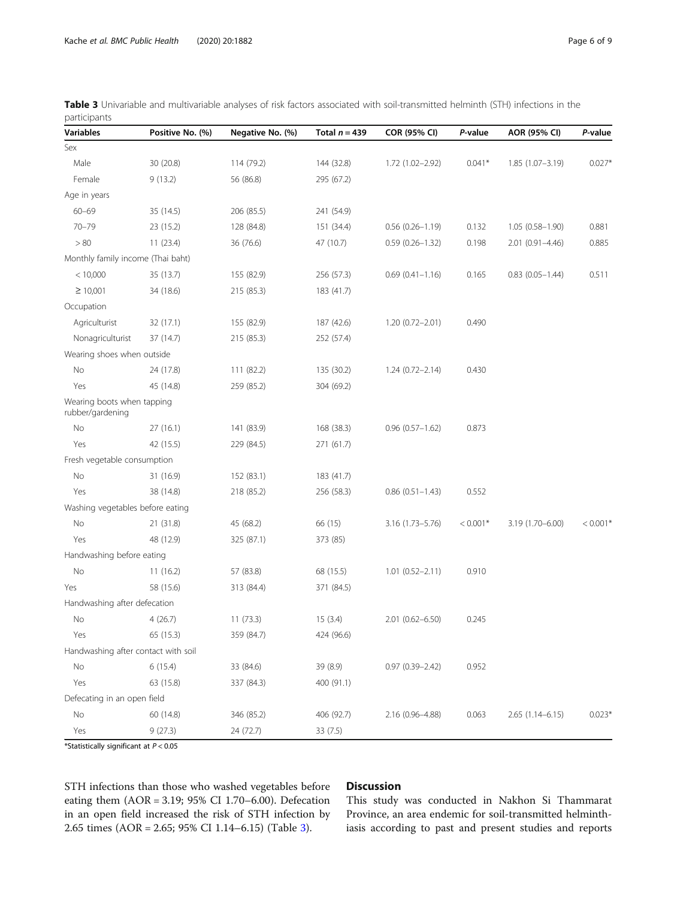| <b>Variables</b>                               | Positive No. (%) | Negative No. (%) | Total $n = 439$ | COR (95% CI)           | P-value    | AOR (95% CI)           | P-value    |
|------------------------------------------------|------------------|------------------|-----------------|------------------------|------------|------------------------|------------|
| Sex                                            |                  |                  |                 |                        |            |                        |            |
| Male                                           | 30 (20.8)        | 114 (79.2)       | 144 (32.8)      | 1.72 (1.02-2.92)       | $0.041*$   | $1.85(1.07 - 3.19)$    | $0.027*$   |
| Female                                         | 9(13.2)          | 56 (86.8)        | 295 (67.2)      |                        |            |                        |            |
| Age in years                                   |                  |                  |                 |                        |            |                        |            |
| $60 - 69$                                      | 35 (14.5)        | 206 (85.5)       | 241 (54.9)      |                        |            |                        |            |
| $70 - 79$                                      | 23 (15.2)        | 128 (84.8)       | 151 (34.4)      | $0.56$ $(0.26 - 1.19)$ | 0.132      | $1.05(0.58 - 1.90)$    | 0.881      |
| > 80                                           | 11(23.4)         | 36 (76.6)        | 47 (10.7)       | $0.59(0.26 - 1.32)$    | 0.198      | 2.01 (0.91-4.46)       | 0.885      |
| Monthly family income (Thai baht)              |                  |                  |                 |                        |            |                        |            |
| < 10,000                                       | 35 (13.7)        | 155 (82.9)       | 256 (57.3)      | $0.69(0.41 - 1.16)$    | 0.165      | $0.83$ $(0.05 - 1.44)$ | 0.511      |
| $\geq 10,001$                                  | 34 (18.6)        | 215 (85.3)       | 183 (41.7)      |                        |            |                        |            |
| Occupation                                     |                  |                  |                 |                        |            |                        |            |
| Agriculturist                                  | 32 (17.1)        | 155 (82.9)       | 187 (42.6)      | $1.20(0.72 - 2.01)$    | 0.490      |                        |            |
| Nonagriculturist                               | 37 (14.7)        | 215 (85.3)       | 252 (57.4)      |                        |            |                        |            |
| Wearing shoes when outside                     |                  |                  |                 |                        |            |                        |            |
| No                                             | 24 (17.8)        | 111 (82.2)       | 135 (30.2)      | $1.24(0.72 - 2.14)$    | 0.430      |                        |            |
| Yes                                            | 45 (14.8)        | 259 (85.2)       | 304 (69.2)      |                        |            |                        |            |
| Wearing boots when tapping<br>rubber/gardening |                  |                  |                 |                        |            |                        |            |
| No                                             | 27 (16.1)        | 141 (83.9)       | 168 (38.3)      | $0.96$ $(0.57 - 1.62)$ | 0.873      |                        |            |
| Yes                                            | 42 (15.5)        | 229 (84.5)       | 271 (61.7)      |                        |            |                        |            |
| Fresh vegetable consumption                    |                  |                  |                 |                        |            |                        |            |
| No                                             | 31 (16.9)        | 152 (83.1)       | 183 (41.7)      |                        |            |                        |            |
| Yes                                            | 38 (14.8)        | 218 (85.2)       | 256 (58.3)      | $0.86$ $(0.51 - 1.43)$ | 0.552      |                        |            |
| Washing vegetables before eating               |                  |                  |                 |                        |            |                        |            |
| No                                             | 21 (31.8)        | 45 (68.2)        | 66 (15)         | 3.16 (1.73-5.76)       | $< 0.001*$ | 3.19 (1.70-6.00)       | $< 0.001*$ |
| Yes                                            | 48 (12.9)        | 325 (87.1)       | 373 (85)        |                        |            |                        |            |
| Handwashing before eating                      |                  |                  |                 |                        |            |                        |            |
| No                                             | 11(16.2)         | 57 (83.8)        | 68 (15.5)       | $1.01(0.52 - 2.11)$    | 0.910      |                        |            |
| Yes                                            | 58 (15.6)        | 313 (84.4)       | 371 (84.5)      |                        |            |                        |            |
| Handwashing after defecation                   |                  |                  |                 |                        |            |                        |            |
| No                                             | 4(26.7)          | 11(73.3)         | 15(3.4)         | $2.01$ (0.62-6.50)     | 0.245      |                        |            |
| Yes                                            | 65 (15.3)        | 359 (84.7)       | 424 (96.6)      |                        |            |                        |            |
| Handwashing after contact with soil            |                  |                  |                 |                        |            |                        |            |
| No                                             | 6(15.4)          | 33 (84.6)        | 39 (8.9)        | $0.97(0.39 - 2.42)$    | 0.952      |                        |            |
| Yes                                            | 63 (15.8)        | 337 (84.3)       | 400 (91.1)      |                        |            |                        |            |
| Defecating in an open field                    |                  |                  |                 |                        |            |                        |            |
| No                                             | 60 (14.8)        | 346 (85.2)       | 406 (92.7)      | 2.16 (0.96-4.88)       | 0.063      | 2.65 (1.14-6.15)       | $0.023*$   |
| Yes                                            | 9(27.3)          | 24 (72.7)        | 33 (7.5)        |                        |            |                        |            |

<span id="page-5-0"></span>

|              | Table 3 Univariable and multivariable analyses of risk factors associated with soil-transmitted helminth (STH) infections in the |  |  |
|--------------|----------------------------------------------------------------------------------------------------------------------------------|--|--|
| participants |                                                                                                                                  |  |  |

\*Statistically significant at  $P < 0.05$ 

STH infections than those who washed vegetables before eating them (AOR = 3.19; 95% CI 1.70–6.00). Defecation in an open field increased the risk of STH infection by 2.65 times (AOR = 2.65; 95% CI 1.14–6.15) (Table 3).

# Discussion

This study was conducted in Nakhon Si Thammarat Province, an area endemic for soil-transmitted helminthiasis according to past and present studies and reports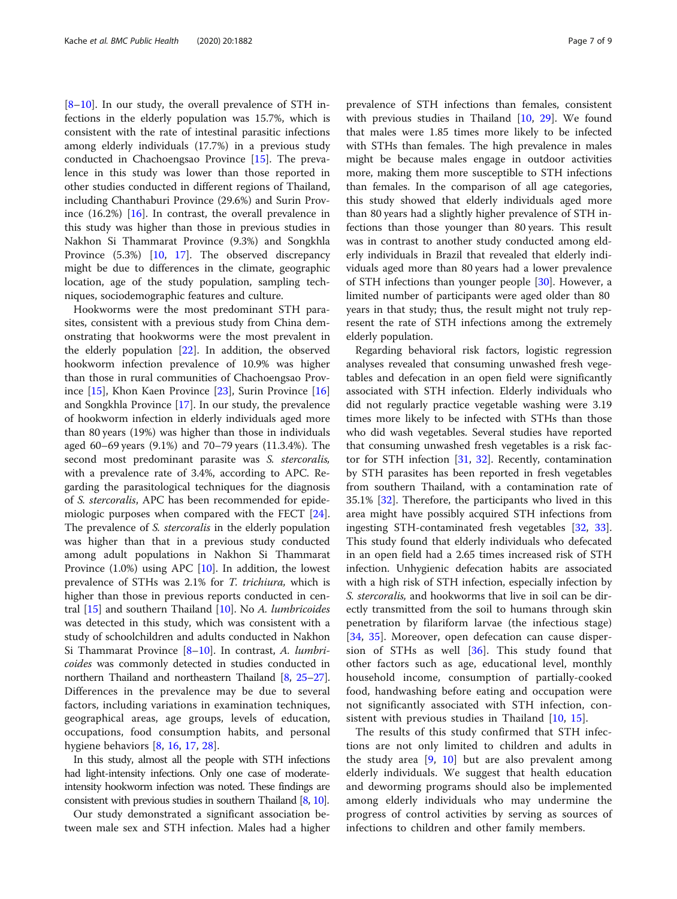[[8](#page-7-0)–[10\]](#page-7-0). In our study, the overall prevalence of STH infections in the elderly population was 15.7%, which is consistent with the rate of intestinal parasitic infections among elderly individuals (17.7%) in a previous study conducted in Chachoengsao Province [[15\]](#page-7-0). The prevalence in this study was lower than those reported in other studies conducted in different regions of Thailand, including Chanthaburi Province (29.6%) and Surin Province (16.2%) [\[16\]](#page-7-0). In contrast, the overall prevalence in this study was higher than those in previous studies in Nakhon Si Thammarat Province (9.3%) and Songkhla Province (5.3%) [[10,](#page-7-0) [17\]](#page-7-0). The observed discrepancy might be due to differences in the climate, geographic location, age of the study population, sampling techniques, sociodemographic features and culture.

Hookworms were the most predominant STH parasites, consistent with a previous study from China demonstrating that hookworms were the most prevalent in the elderly population [\[22](#page-8-0)]. In addition, the observed hookworm infection prevalence of 10.9% was higher than those in rural communities of Chachoengsao Province [\[15\]](#page-7-0), Khon Kaen Province [\[23\]](#page-8-0), Surin Province [[16](#page-7-0)] and Songkhla Province [\[17\]](#page-7-0). In our study, the prevalence of hookworm infection in elderly individuals aged more than 80 years (19%) was higher than those in individuals aged 60–69 years (9.1%) and 70–79 years (11.3.4%). The second most predominant parasite was S. stercoralis, with a prevalence rate of 3.4%, according to APC. Regarding the parasitological techniques for the diagnosis of S. stercoralis, APC has been recommended for epidemiologic purposes when compared with the FECT [\[24](#page-8-0)]. The prevalence of *S. stercoralis* in the elderly population was higher than that in a previous study conducted among adult populations in Nakhon Si Thammarat Province  $(1.0\%)$  using APC  $[10]$  $[10]$ . In addition, the lowest prevalence of STHs was 2.1% for T. trichiura, which is higher than those in previous reports conducted in central [[15\]](#page-7-0) and southern Thailand [[10\]](#page-7-0). No A. lumbricoides was detected in this study, which was consistent with a study of schoolchildren and adults conducted in Nakhon Si Thammarat Province [[8](#page-7-0)–[10\]](#page-7-0). In contrast, A. lumbricoides was commonly detected in studies conducted in northern Thailand and northeastern Thailand [[8,](#page-7-0) [25](#page-8-0)–[27](#page-8-0)]. Differences in the prevalence may be due to several factors, including variations in examination techniques, geographical areas, age groups, levels of education, occupations, food consumption habits, and personal hygiene behaviors [\[8](#page-7-0), [16](#page-7-0), [17,](#page-7-0) [28\]](#page-8-0).

In this study, almost all the people with STH infections had light-intensity infections. Only one case of moderateintensity hookworm infection was noted. These findings are consistent with previous studies in southern Thailand [\[8](#page-7-0), [10\]](#page-7-0).

Our study demonstrated a significant association between male sex and STH infection. Males had a higher

prevalence of STH infections than females, consistent with previous studies in Thailand [\[10,](#page-7-0) [29\]](#page-8-0). We found that males were 1.85 times more likely to be infected with STHs than females. The high prevalence in males might be because males engage in outdoor activities more, making them more susceptible to STH infections than females. In the comparison of all age categories, this study showed that elderly individuals aged more than 80 years had a slightly higher prevalence of STH infections than those younger than 80 years. This result was in contrast to another study conducted among elderly individuals in Brazil that revealed that elderly individuals aged more than 80 years had a lower prevalence of STH infections than younger people [\[30](#page-8-0)]. However, a limited number of participants were aged older than 80 years in that study; thus, the result might not truly represent the rate of STH infections among the extremely elderly population.

Regarding behavioral risk factors, logistic regression analyses revealed that consuming unwashed fresh vegetables and defecation in an open field were significantly associated with STH infection. Elderly individuals who did not regularly practice vegetable washing were 3.19 times more likely to be infected with STHs than those who did wash vegetables. Several studies have reported that consuming unwashed fresh vegetables is a risk factor for STH infection [[31,](#page-8-0) [32\]](#page-8-0). Recently, contamination by STH parasites has been reported in fresh vegetables from southern Thailand, with a contamination rate of 35.1% [\[32](#page-8-0)]. Therefore, the participants who lived in this area might have possibly acquired STH infections from ingesting STH-contaminated fresh vegetables [\[32,](#page-8-0) [33](#page-8-0)]. This study found that elderly individuals who defecated in an open field had a 2.65 times increased risk of STH infection. Unhygienic defecation habits are associated with a high risk of STH infection, especially infection by S. stercoralis, and hookworms that live in soil can be directly transmitted from the soil to humans through skin penetration by filariform larvae (the infectious stage) [[34,](#page-8-0) [35\]](#page-8-0). Moreover, open defecation can cause dispersion of STHs as well [[36\]](#page-8-0). This study found that other factors such as age, educational level, monthly household income, consumption of partially-cooked food, handwashing before eating and occupation were not significantly associated with STH infection, con-sistent with previous studies in Thailand [[10](#page-7-0), [15](#page-7-0)].

The results of this study confirmed that STH infections are not only limited to children and adults in the study area  $[9, 10]$  $[9, 10]$  $[9, 10]$  $[9, 10]$  $[9, 10]$  but are also prevalent among elderly individuals. We suggest that health education and deworming programs should also be implemented among elderly individuals who may undermine the progress of control activities by serving as sources of infections to children and other family members.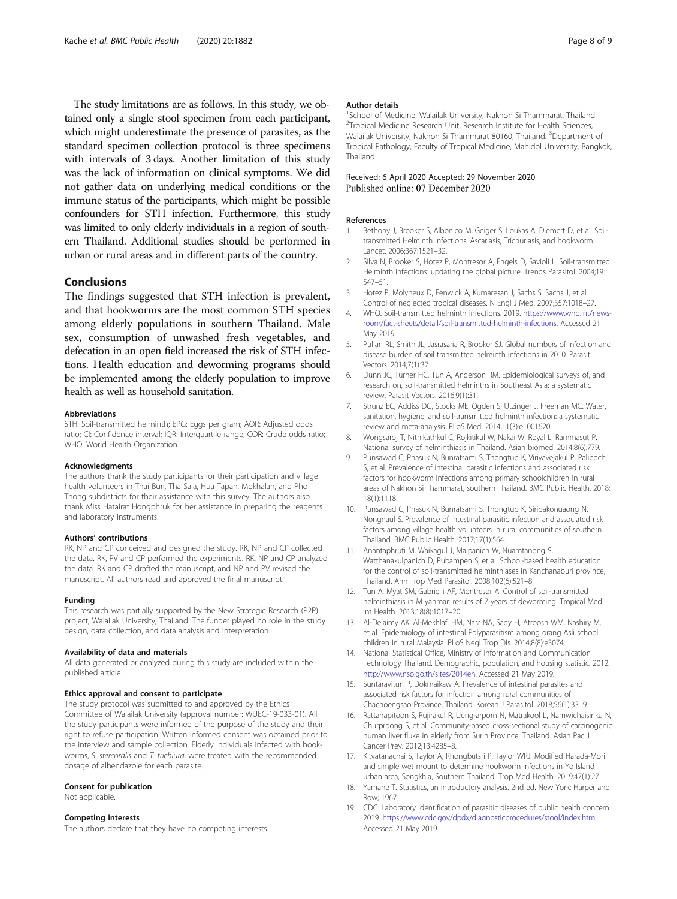<span id="page-7-0"></span>The study limitations are as follows. In this study, we obtained only a single stool specimen from each participant, which might underestimate the presence of parasites, as the standard specimen collection protocol is three specimens with intervals of 3 days. Another limitation of this study was the lack of information on clinical symptoms. We did not gather data on underlying medical conditions or the immune status of the participants, which might be possible confounders for STH infection. Furthermore, this study was limited to only elderly individuals in a region of southern Thailand. Additional studies should be performed in urban or rural areas and in different parts of the country.

# Conclusions

The findings suggested that STH infection is prevalent, and that hookworms are the most common STH species among elderly populations in southern Thailand. Male sex, consumption of unwashed fresh vegetables, and defecation in an open field increased the risk of STH infections. Health education and deworming programs should be implemented among the elderly population to improve health as well as household sanitation.

#### Abbreviations

STH: Soil-transmitted helminth; EPG: Eggs per gram; AOR: Adjusted odds ratio; CI: Confidence interval; IQR: Interquartile range; COR: Crude odds ratio; WHO: World Health Organization

#### Acknowledgments

The authors thank the study participants for their participation and village health volunteers in Thai Buri, Tha Sala, Hua Tapan, Mokhalan, and Pho Thong subdistricts for their assistance with this survey. The authors also thank Miss Hatairat Hongphruk for her assistance in preparing the reagents and laboratory instruments.

#### Authors' contributions

RK, NP and CP conceived and designed the study. RK, NP and CP collected the data. RK, PV and CP performed the experiments. RK, NP and CP analyzed the data. RK and CP drafted the manuscript, and NP and PV revised the manuscript. All authors read and approved the final manuscript.

#### Funding

This research was partially supported by the New Strategic Research (P2P) project, Walailak University, Thailand. The funder played no role in the study design, data collection, and data analysis and interpretation.

#### Availability of data and materials

All data generated or analyzed during this study are included within the published article.

#### Ethics approval and consent to participate

The study protocol was submitted to and approved by the Ethics Committee of Walailak University (approval number: WUEC-19-033-01). All the study participants were informed of the purpose of the study and their right to refuse participation. Written informed consent was obtained prior to the interview and sample collection. Elderly individuals infected with hookworms, S. stercoralis and T. trichiura, were treated with the recommended dosage of albendazole for each parasite.

#### Consent for publication

Not applicable.

### Competing interests

The authors declare that they have no competing interests.

#### Author details

<sup>1</sup>School of Medicine, Walailak University, Nakhon Si Thammarat, Thailand <sup>2</sup>Tropical Medicine Research Unit, Research Institute for Health Sciences Walailak University, Nakhon Si Thammarat 80160, Thailand. <sup>3</sup>Department of Tropical Pathology, Faculty of Tropical Medicine, Mahidol University, Bangkok, Thailand.

# Received: 6 April 2020 Accepted: 29 November 2020 Published online: 07 December 2020

#### References

- 1. Bethony J, Brooker S, Albonico M, Geiger S, Loukas A, Diemert D, et al. Soiltransmitted Helminth infections: Ascariasis, Trichuriasis, and hookworm. Lancet. 2006;367:1521–32.
- 2. Silva N, Brooker S, Hotez P, Montresor A, Engels D, Savioli L. Soil-transmitted Helminth infections: updating the global picture. Trends Parasitol. 2004;19: 547–51.
- Hotez P, Molyneux D, Fenwick A, Kumaresan J, Sachs S, Sachs J, et al. Control of neglected tropical diseases. N Engl J Med. 2007;357:1018–27.
- 4. WHO. Soil-transmitted helminth infections. 2019. [https://www.who.int/news](https://www.who.int/news-room/fact-sheets/detail/soil-transmitted-helminth-infections)[room/fact-sheets/detail/soil-transmitted-helminth-infections.](https://www.who.int/news-room/fact-sheets/detail/soil-transmitted-helminth-infections) Accessed 21 May 2019.
- 5. Pullan RL, Smith JL, Jasrasaria R, Brooker SJ. Global numbers of infection and disease burden of soil transmitted helminth infections in 2010. Parasit Vectors. 2014;7(1):37.
- 6. Dunn JC, Turner HC, Tun A, Anderson RM. Epidemiological surveys of, and research on, soil-transmitted helminths in Southeast Asia: a systematic review. Parasit Vectors. 2016;9(1):31.
- 7. Strunz EC, Addiss DG, Stocks ME, Ogden S, Utzinger J, Freeman MC. Water, sanitation, hygiene, and soil-transmitted helminth infection: a systematic review and meta-analysis. PLoS Med. 2014;11(3):e1001620.
- 8. Wongsaroj T, Nithikathkul C, Rojkitikul W, Nakai W, Royal L, Rammasut P. National survey of helminthiasis in Thailand. Asian biomed. 2014;8(6):779.
- 9. Punsawad C, Phasuk N, Bunratsami S, Thongtup K, Viriyavejakul P, Palipoch S, et al. Prevalence of intestinal parasitic infections and associated risk factors for hookworm infections among primary schoolchildren in rural areas of Nakhon Si Thammarat, southern Thailand. BMC Public Health. 2018; 18(1):1118.
- 10. Punsawad C, Phasuk N, Bunratsami S, Thongtup K, Siripakonuaong N, Nongnaul S. Prevalence of intestinal parasitic infection and associated risk factors among village health volunteers in rural communities of southern Thailand. BMC Public Health. 2017;17(1):564.
- 11. Anantaphruti M, Waikagul J, Maipanich W, Nuamtanong S, Watthanakulpanich D, Pubampen S, et al. School-based health education for the control of soil-transmitted helminthiases in Kanchanaburi province, Thailand. Ann Trop Med Parasitol. 2008;102(6):521–8.
- 12. Tun A, Myat SM, Gabrielli AF, Montresor A. Control of soil-transmitted helminthiasis in M yanmar: results of 7 years of deworming. Tropical Med Int Health. 2013;18(8):1017–20.
- 13. Al-Delaimy AK, Al-Mekhlafi HM, Nasr NA, Sady H, Atroosh WM, Nashiry M, et al. Epidemiology of intestinal Polyparasitism among orang Asli school children in rural Malaysia. PLoS Negl Trop Dis. 2014;8(8):e3074.
- 14. National Statistical Office, Ministry of Information and Communication Technology Thailand. Demographic, population, and housing statistic. 2012. <http://www.nso.go.th/sites/2014en>. Accessed 21 May 2019.
- 15. Suntaravitun P, Dokmaikaw A. Prevalence of intestinal parasites and associated risk factors for infection among rural communities of Chachoengsao Province, Thailand. Korean J Parasitol. 2018;56(1):33–9.
- 16. Rattanapitoon S, Rujirakul R, Ueng-arporn N, Matrakool L, Namwichaisiriku N, Churproong S, et al. Community-based cross-sectional study of carcinogenic human liver fluke in elderly from Surin Province, Thailand. Asian Pac J Cancer Prev. 2012;13:4285–8.
- 17. Kitvatanachai S, Taylor A, Rhongbutsri P, Taylor WRJ. Modified Harada-Mori and simple wet mount to determine hookworm infections in Yo Island urban area, Songkhla, Southern Thailand. Trop Med Health. 2019;47(1):27.
- 18. Yamane T. Statistics, an introductory analysis. 2nd ed. New York: Harper and Row; 1967.
- 19. CDC. Laboratory identification of parasitic diseases of public health concern. 2019. <https://www.cdc.gov/dpdx/diagnosticprocedures/stool/index.html>. Accessed 21 May 2019.